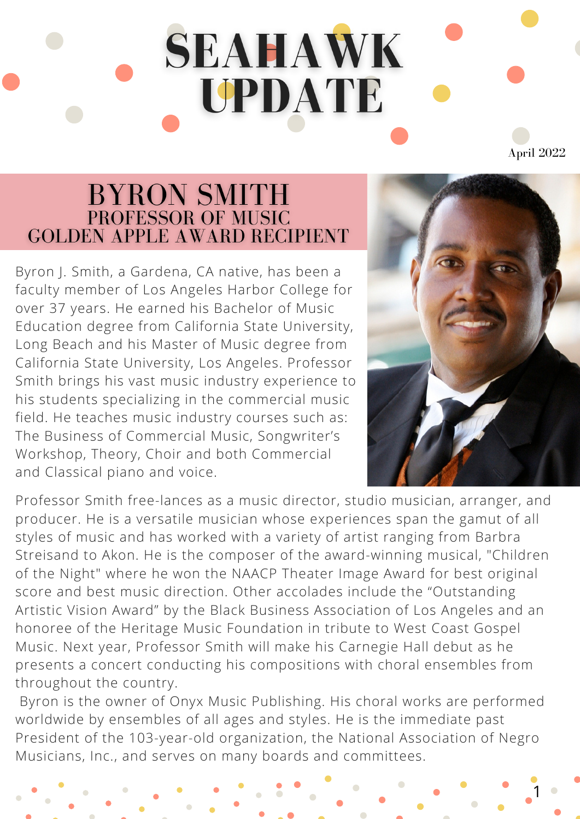## **SEAHAWK** UPDATE April 2022

## BYRON SMITH<br>PROFESSOR OF MUSIC<br>GOLDEN APPLE AWARD RECIPIENT

Byron J. Smith, a Gardena, CA native, has been a faculty member of Los Angeles Harbor College for over 37 years. He earned his Bachelor of Music Education degree from California State University, Long Beach and his Master of Music degree from California State University, Los Angeles. Professor Smith brings his vast music industry experience to his students specializing in the commercial music field. He teaches music industry courses such as: The Business of Commercial Music, Songwriter's Workshop, Theory, Choir and both Commercial and Classical piano and voice.



1

Professor Smith free-lances as a music director, studio musician, arranger, and producer. He is a versatile musician whose experiences span the gamut of all styles of music and has worked with a variety of artist ranging from Barbra Streisand to Akon. He is the composer of the award-winning musical, "Children of the Night" where he won the NAACP Theater Image Award for best original score and best music direction. Other accolades include the "Outstanding Artistic Vision Award" by the Black Business Association of Los Angeles and an honoree of the Heritage Music Foundation in tribute to West Coast Gospel Music. Next year, Professor Smith will make his Carnegie Hall debut as he presents a concert conducting his compositions with choral ensembles from throughout the country.

Byron is the owner of Onyx Music Publishing. His choral works are performed worldwide by ensembles of all ages and styles. He is the immediate past President of the 103-year-old organization, the National Association of Negro Musicians, Inc., and serves on many boards and committees.